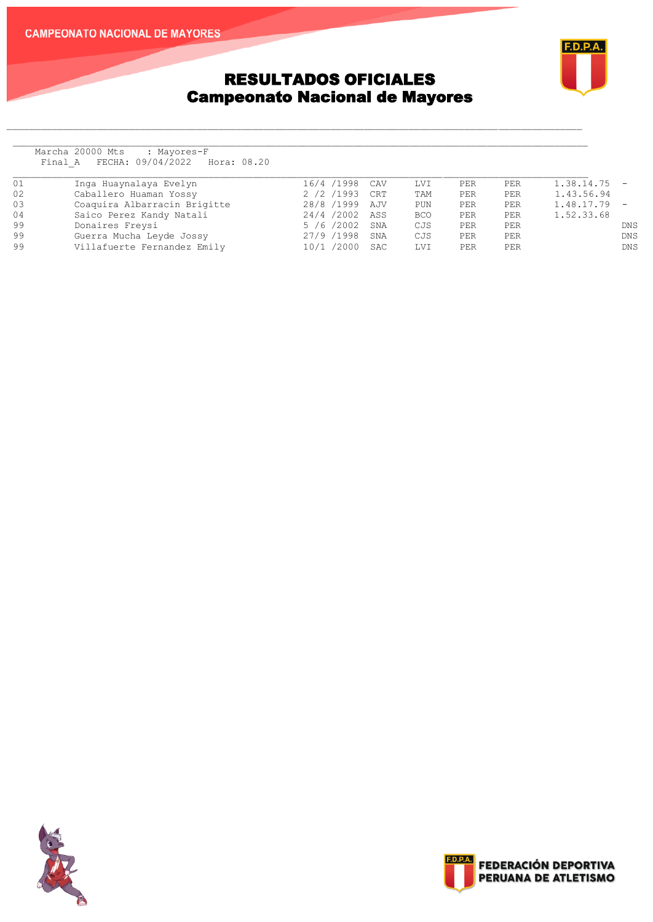#### **CAMPEONATO NACIONAL DE MAYORES**



## RESULTADOS OFICIALES Campeonato Nacional de Mayores

Marcha 20000 Mts : Mayores-F Final A FECHA: 09/04/2022 Hora: 08.20

| 01 | Inga Huaynalaya Evelyn       | 16/4 /1998 CAV |     | LVI        | PER | PER        | 1.38.14.75 |                          |
|----|------------------------------|----------------|-----|------------|-----|------------|------------|--------------------------|
| 02 | Caballero Huaman Yossy       | 2 /2 /1993 CRT |     | TAM        | PER | <b>PER</b> | 1.43.56.94 |                          |
| 03 | Coaquira Albarracin Brigitte | 28/8 /1999 AJV |     | PUN        | PER | <b>PER</b> | 1.48.17.79 | $\overline{\phantom{a}}$ |
| 04 | Saico Perez Kandy Natali     | 24/4/2002 ASS  |     | <b>BCO</b> | PER | PER        | 1.52.33.68 |                          |
| 99 | Donaires Freysi              | 5 /6 /2002 SNA |     | CJS        | PER | PER        |            | DNS.                     |
| 99 | Guerra Mucha Leyde Jossy     | 27/9 /1998     | SNA | CJS        | PER | PER        |            | DNS.                     |
| 99 | Villafuerte Fernandez Emily  | 10/1 /2000 SAC |     | <b>LVI</b> | PER | PER        |            | DNS                      |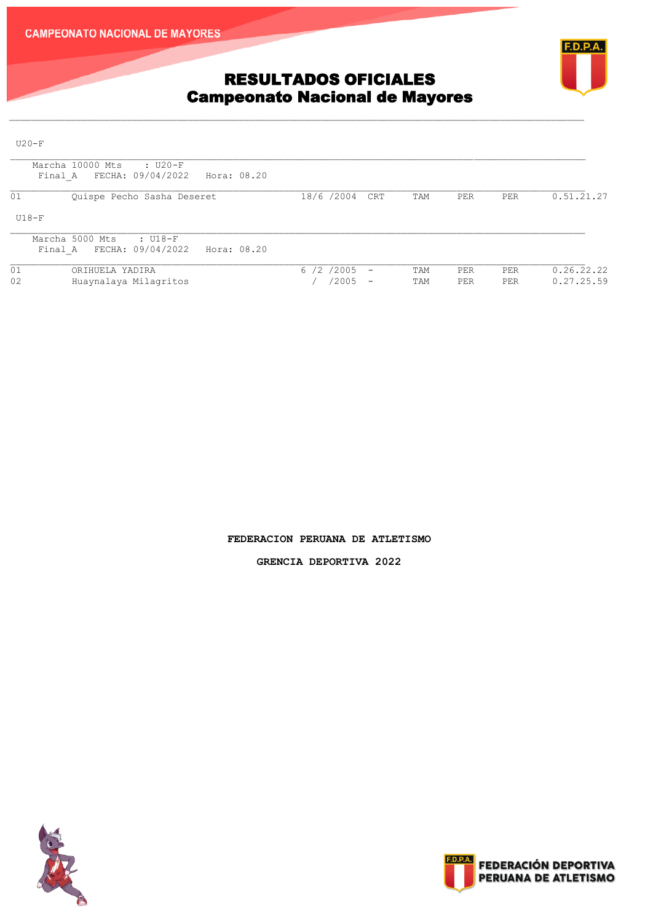



# RESULTADOS OFICIALES Campeonato Nacional de Mayores

 $U20-F$ 

| Marcha 10000 Mts<br>: U20-F<br>FECHA: 09/04/2022<br>Hora: 08.20<br>Final A |                                                                      |            |            |            |                          |
|----------------------------------------------------------------------------|----------------------------------------------------------------------|------------|------------|------------|--------------------------|
| 01<br>Quispe Pecho Sasha Deseret                                           | 18/6 /2004 CRT                                                       | TAM        | <b>PER</b> | PER        | 0.51.21.27               |
| $U18-F$                                                                    |                                                                      |            |            |            |                          |
| Marcha 5000 Mts<br>: U18-F<br>FECHA: 09/04/2022<br>Hora: 08.20<br>Final A  |                                                                      |            |            |            |                          |
| 01<br>ORIHUELA YADIRA<br>02<br>Huaynalaya Milagritos                       | 6 /2 /2005<br>$\overline{\phantom{m}}$<br>/2005<br>$\qquad \qquad -$ | TAM<br>TAM | PER<br>PER | PER<br>PER | 0.26.22.22<br>0.27.25.59 |

 $\mathcal{L}_\text{max} = \mathcal{L}_\text{max} = \mathcal{L}_\text{max} = \mathcal{L}_\text{max} = \mathcal{L}_\text{max} = \mathcal{L}_\text{max} = \mathcal{L}_\text{max} = \mathcal{L}_\text{max} = \mathcal{L}_\text{max} = \mathcal{L}_\text{max} = \mathcal{L}_\text{max} = \mathcal{L}_\text{max} = \mathcal{L}_\text{max} = \mathcal{L}_\text{max} = \mathcal{L}_\text{max} = \mathcal{L}_\text{max} = \mathcal{L}_\text{max} = \mathcal{L}_\text{max} = \mathcal{$